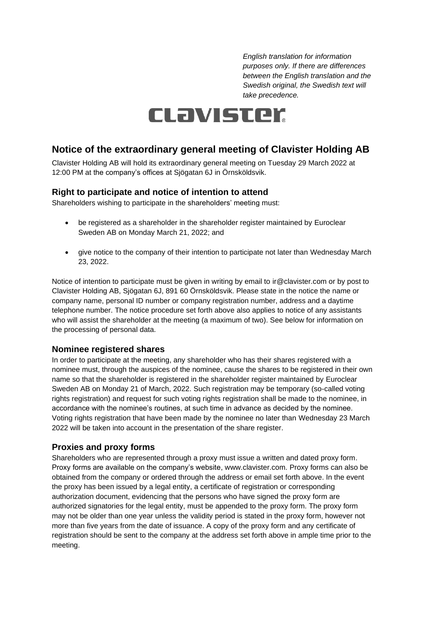*English translation for information purposes only. If there are differences between the English translation and the Swedish original, the Swedish text will take precedence.*

# CLavister

## **Notice of the extraordinary general meeting of Clavister Holding AB**

Clavister Holding AB will hold its extraordinary general meeting on Tuesday 29 March 2022 at 12:00 PM at the company's offices at Sjögatan 6J in Örnsköldsvik.

## **Right to participate and notice of intention to attend**

Shareholders wishing to participate in the shareholders' meeting must:

- be registered as a shareholder in the shareholder register maintained by Euroclear Sweden AB on Monday March 21, 2022; and
- give notice to the company of their intention to participate not later than Wednesday March 23, 2022.

Notice of intention to participate must be given in writing by email to ir@clavister.com or by post to Clavister Holding AB, Sjögatan 6J, 891 60 Örnsköldsvik. Please state in the notice the name or company name, personal ID number or company registration number, address and a daytime telephone number. The notice procedure set forth above also applies to notice of any assistants who will assist the shareholder at the meeting (a maximum of two). See below for information on the processing of personal data.

#### **Nominee registered shares**

In order to participate at the meeting, any shareholder who has their shares registered with a nominee must, through the auspices of the nominee, cause the shares to be registered in their own name so that the shareholder is registered in the shareholder register maintained by Euroclear Sweden AB on Monday 21 of March, 2022. Such registration may be temporary (so-called voting rights registration) and request for such voting rights registration shall be made to the nominee, in accordance with the nominee's routines, at such time in advance as decided by the nominee. Voting rights registration that have been made by the nominee no later than Wednesday 23 March 2022 will be taken into account in the presentation of the share register.

#### **Proxies and proxy forms**

Shareholders who are represented through a proxy must issue a written and dated proxy form. Proxy forms are available on the company's website, www.clavister.com. Proxy forms can also be obtained from the company or ordered through the address or email set forth above. In the event the proxy has been issued by a legal entity, a certificate of registration or corresponding authorization document, evidencing that the persons who have signed the proxy form are authorized signatories for the legal entity, must be appended to the proxy form. The proxy form may not be older than one year unless the validity period is stated in the proxy form, however not more than five years from the date of issuance. A copy of the proxy form and any certificate of registration should be sent to the company at the address set forth above in ample time prior to the meeting.